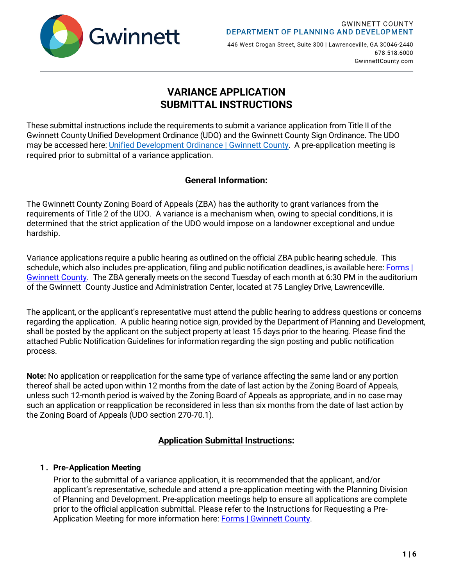

446 West Crogan Street, Suite 300 | Lawrenceville, GA 30046-2440 678.518.6000 GwinnettCounty.com

# **VARIANCE APPLICATION SUBMITTAL INSTRUCTIONS**

These submittal instructions include the requirements to submit a variance application from Title II of the Gwinnett County Unified Development Ordinance (UDO) and the Gwinnett County Sign Ordinance. The UDO may be accessed here: [Unified Development Ordinance | Gwinnett County](https://www.gwinnettcounty.com/web/gwinnett/departments/planninganddevelopment/gwinnettudo). A pre-application meeting is required prior to submittal of a variance application.

# **General Information:**

The Gwinnett County Zoning Board of Appeals (ZBA) has the authority to grant variances from the requirements of Title 2 of the UDO. A variance is a mechanism when, owing to special conditions, it is determined that the strict application of the UDO would impose on a landowner exceptional and undue hardship.

Variance applications require a public hearing as outlined on the official ZBA public hearing schedule. This schedule, which also includes pre-application, filing and public notification deadlines, is available here: [Forms |](https://www.gwinnettcounty.com/web/gwinnett/departments/planninganddevelopment/forms) [Gwinnett County.](https://www.gwinnettcounty.com/web/gwinnett/departments/planninganddevelopment/forms) The ZBA generally meets on the second Tuesday of each month at 6:30 PM in the auditorium of the Gwinnett County Justice and Administration Center, located at 75 Langley Drive, Lawrenceville.

The applicant, or the applicant's representative must attend the public hearing to address questions or concerns regarding the application. A public hearing notice sign, provided by the Department of Planning and Development, shall be posted by the applicant on the subject property at least 15 days prior to the hearing. Please find the attached Public Notification Guidelines for information regarding the sign posting and public notification process.

**Note:** No application or reapplication for the same type of variance affecting the same land or any portion thereof shall be acted upon within 12 months from the date of last action by the Zoning Board of Appeals, unless such 12-month period is waived by the Zoning Board of Appeals as appropriate, and in no case may such an application or reapplication be reconsidered in less than six months from the date of last action by the Zoning Board of Appeals (UDO section 270-70.1).

# **Application Submittal Instructions:**

## **1 . Pre-Application Meeting**

Prior to the submittal of a variance application, it is recommended that the applicant, and/or applicant's representative, schedule and attend a pre-application meeting with the Planning Division of Planning and Development. Pre-application meetings help to ensure all applications are complete prior to the official application submittal. Please refer to the Instructions for Requesting a Pre-Application Meeting for more information here: Forms | [Gwinnett County.](https://www.gwinnettcounty.com/web/gwinnett/departments/planninganddevelopment/forms)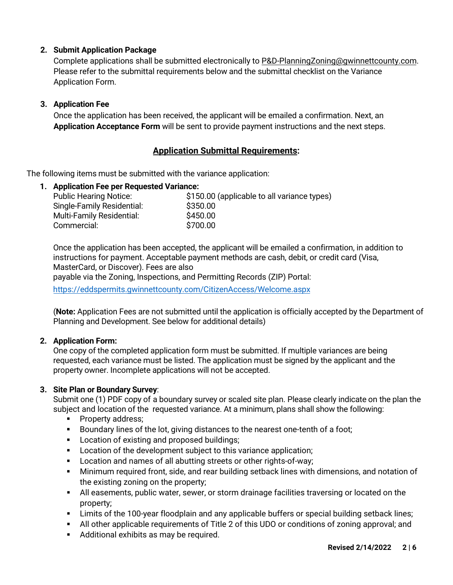## **2. Submit Application Package**

Complete applications shall be submitted electronically to P&D-PlanningZoning[@gwinnettcounty.com.](mailto:PlanningDivision@gwinnettcounty.com) Please refer to the submittal requirements below and the submittal checklist on the Variance Application Form.

#### **3. Application Fee**

Once the application has been received, the applicant will be emailed a confirmation. Next, an **Application Acceptance Form** will be sent to provide payment instructions and the next steps.

## **Application Submittal Requirements:**

The following items must be submitted with the variance application:

#### **1. Application Fee per Requested Variance:**

| \$150.00 (applicable to all variance types) |
|---------------------------------------------|
| \$350.00                                    |
| \$450.00                                    |
| \$700.00                                    |
|                                             |

Once the application has been accepted, the applicant will be emailed a confirmation, in addition to instructions for payment. Acceptable payment methods are cash, debit, or credit card (Visa, MasterCard, or Discover). Fees are also

payable via the Zoning, Inspections, and Permitting Records (ZIP) Portal:

<https://eddspermits.gwinnettcounty.com/CitizenAccess/Welcome.aspx>

(**Note:** Application Fees are not submitted until the application is officially accepted by the Department of Planning and Development. See below for additional details)

#### **2. Application Form:**

One copy of the completed application form must be submitted. If multiple variances are being requested, each variance must be listed. The application must be signed by the applicant and the property owner. Incomplete applications will not be accepted.

#### **3. Site Plan or Boundary Survey**:

Submit one (1) PDF copy of a boundary survey or scaled site plan. Please clearly indicate on the plan the subject and location of the requested variance. At a minimum, plans shall show the following:

- Property address;
- **Boundary lines of the lot, giving distances to the nearest one-tenth of a foot;**
- **Location of existing and proposed buildings;**
- **Location of the development subject to this variance application;**
- **Location and names of all abutting streets or other rights-of-way;**
- Minimum required front, side, and rear building setback lines with dimensions, and notation of the existing zoning on the property;
- All easements, public water, sewer, or storm drainage facilities traversing or located on the property;
- Limits of the 100-year floodplain and any applicable buffers or special building setback lines;
- All other applicable requirements of Title 2 of this UDO or conditions of zoning approval; and
- **Additional exhibits as may be required.**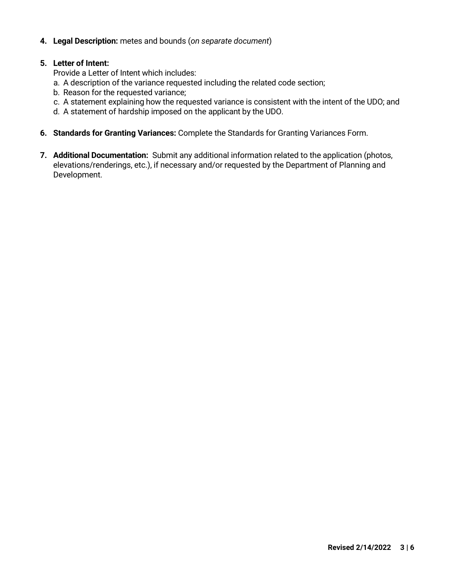#### **4. Legal Description:** metes and bounds (*on separate document*)

#### **5. Letter of Intent:**

Provide a Letter of Intent which includes:

- a. A description of the variance requested including the related code section;
- b. Reason for the requested variance;
- c. A statement explaining how the requested variance is consistent with the intent of the UDO; and
- d. A statement of hardship imposed on the applicant by the UDO.
- **6. Standards for Granting Variances:** Complete the Standards for Granting Variances Form.
- **7. Additional Documentation:** Submit any additional information related to the application (photos, elevations/renderings, etc.), if necessary and/or requested by the Department of Planning and Development.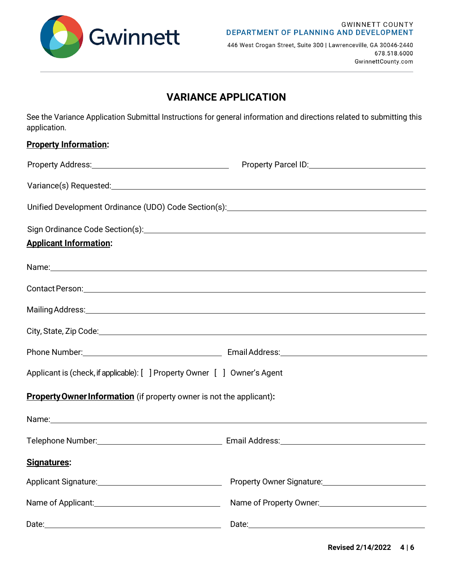

446 West Crogan Street, Suite 300 | Lawrenceville, GA 30046-2440 678.518.6000 GwinnettCounty.com

# **VARIANCE APPLICATION**

See the Variance Application Submittal Instructions for general information and directions related to submitting this application.

| Unified Development Ordinance (UDO) Code Section(s): \\esp \\esp \\esp \\esp \\esp \\esp \\esp \\esp \\esp \\e                                                                                                                |
|-------------------------------------------------------------------------------------------------------------------------------------------------------------------------------------------------------------------------------|
|                                                                                                                                                                                                                               |
|                                                                                                                                                                                                                               |
| Name: Name: Name: Name: Name: Name: Name: Name: Name: Name: Name: Name: Name: Name: Name: Name: Name: Name: Name: Name: Name: Name: Name: Name: Name: Name: Name: Name: Name: Name: Name: Name: Name: Name: Name: Name: Name: |
|                                                                                                                                                                                                                               |
|                                                                                                                                                                                                                               |
|                                                                                                                                                                                                                               |
|                                                                                                                                                                                                                               |
| Applicant is (check, if applicable): [ ] Property Owner [ ] Owner's Agent                                                                                                                                                     |
| <b>Property Owner Information</b> (if property owner is not the applicant):                                                                                                                                                   |
|                                                                                                                                                                                                                               |
|                                                                                                                                                                                                                               |
|                                                                                                                                                                                                                               |
| Property Owner Signature: 2008                                                                                                                                                                                                |
| Name of Property Owner: 2008                                                                                                                                                                                                  |
|                                                                                                                                                                                                                               |
|                                                                                                                                                                                                                               |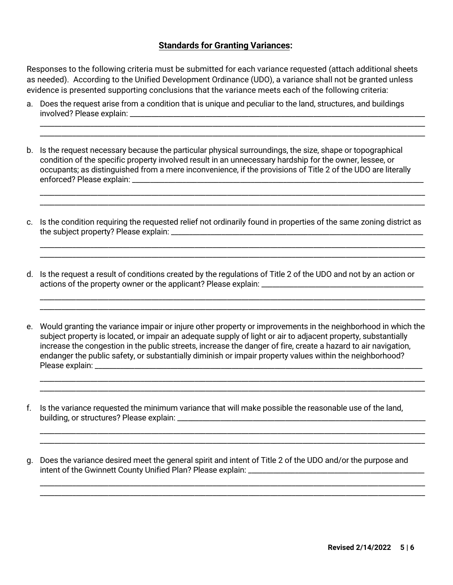### **Standards for Granting Variances:**

Responses to the following criteria must be submitted for each variance requested (attach additional sheets as needed). According to the Unified Development Ordinance (UDO), a variance shall not be granted unless evidence is presented supporting conclusions that the variance meets each of the following criteria:

\_\_\_\_\_\_\_\_\_\_\_\_\_\_\_\_\_\_\_\_\_\_\_\_\_\_\_\_\_\_\_\_\_\_\_\_\_\_\_\_\_\_\_\_\_\_\_\_\_\_\_\_\_\_\_\_\_\_\_\_\_\_\_\_\_\_\_\_\_\_\_\_\_\_\_\_\_\_\_\_\_\_\_\_\_\_\_\_\_\_\_\_\_\_\_\_\_\_\_\_\_\_\_\_\_\_\_ \_\_\_\_\_\_\_\_\_\_\_\_\_\_\_\_\_\_\_\_\_\_\_\_\_\_\_\_\_\_\_\_\_\_\_\_\_\_\_\_\_\_\_\_\_\_\_\_\_\_\_\_\_\_\_\_\_\_\_\_\_\_\_\_\_\_\_\_\_\_\_\_\_\_\_\_\_\_\_\_\_\_\_\_\_\_\_\_\_\_\_\_\_\_\_\_\_\_\_\_\_\_\_\_\_\_\_

\_\_\_\_\_\_\_\_\_\_\_\_\_\_\_\_\_\_\_\_\_\_\_\_\_\_\_\_\_\_\_\_\_\_\_\_\_\_\_\_\_\_\_\_\_\_\_\_\_\_\_\_\_\_\_\_\_\_\_\_\_\_\_\_\_\_\_\_\_\_\_\_\_\_\_\_\_\_\_\_\_\_\_\_\_\_\_\_\_\_\_\_\_\_\_\_\_\_\_\_\_\_\_\_\_\_\_ \_\_\_\_\_\_\_\_\_\_\_\_\_\_\_\_\_\_\_\_\_\_\_\_\_\_\_\_\_\_\_\_\_\_\_\_\_\_\_\_\_\_\_\_\_\_\_\_\_\_\_\_\_\_\_\_\_\_\_\_\_\_\_\_\_\_\_\_\_\_\_\_\_\_\_\_\_\_\_\_\_\_\_\_\_\_\_\_\_\_\_\_\_\_\_\_\_\_\_\_\_\_\_\_\_\_\_

\_\_\_\_\_\_\_\_\_\_\_\_\_\_\_\_\_\_\_\_\_\_\_\_\_\_\_\_\_\_\_\_\_\_\_\_\_\_\_\_\_\_\_\_\_\_\_\_\_\_\_\_\_\_\_\_\_\_\_\_\_\_\_\_\_\_\_\_\_\_\_\_\_\_\_\_\_\_\_\_\_\_\_\_\_\_\_\_\_\_\_\_\_\_\_\_\_\_\_\_\_\_\_\_\_\_\_ \_\_\_\_\_\_\_\_\_\_\_\_\_\_\_\_\_\_\_\_\_\_\_\_\_\_\_\_\_\_\_\_\_\_\_\_\_\_\_\_\_\_\_\_\_\_\_\_\_\_\_\_\_\_\_\_\_\_\_\_\_\_\_\_\_\_\_\_\_\_\_\_\_\_\_\_\_\_\_\_\_\_\_\_\_\_\_\_\_\_\_\_\_\_\_\_\_\_\_\_\_\_\_\_\_\_\_

\_\_\_\_\_\_\_\_\_\_\_\_\_\_\_\_\_\_\_\_\_\_\_\_\_\_\_\_\_\_\_\_\_\_\_\_\_\_\_\_\_\_\_\_\_\_\_\_\_\_\_\_\_\_\_\_\_\_\_\_\_\_\_\_\_\_\_\_\_\_\_\_\_\_\_\_\_\_\_\_\_\_\_\_\_\_\_\_\_\_\_\_\_\_\_\_\_\_\_\_\_\_\_\_\_\_\_ \_\_\_\_\_\_\_\_\_\_\_\_\_\_\_\_\_\_\_\_\_\_\_\_\_\_\_\_\_\_\_\_\_\_\_\_\_\_\_\_\_\_\_\_\_\_\_\_\_\_\_\_\_\_\_\_\_\_\_\_\_\_\_\_\_\_\_\_\_\_\_\_\_\_\_\_\_\_\_\_\_\_\_\_\_\_\_\_\_\_\_\_\_\_\_\_\_\_\_\_\_\_\_\_\_\_\_

- a. Does the request arise from a condition that is unique and peculiar to the land, structures, and buildings involved? Please explain: \_\_\_\_\_\_\_\_\_\_\_\_\_\_\_\_\_\_\_\_\_\_\_\_\_\_\_\_\_\_\_\_\_\_\_\_\_\_\_\_\_\_\_\_\_\_\_\_\_\_\_\_\_\_\_\_\_\_\_\_\_\_\_\_\_\_\_\_\_\_\_\_\_\_\_\_\_\_\_\_\_\_
- b. Is the request necessary because the particular physical surroundings, the size, shape or topographical condition of the specific property involved result in an unnecessary hardship for the owner, lessee, or occupants; as distinguished from a mere inconvenience, if the provisions of Title 2 of the UDO are literally enforced? Please explain: \_\_\_\_\_\_\_\_\_\_\_\_\_\_\_\_\_\_\_\_\_\_\_\_\_\_\_\_\_\_\_\_\_\_\_\_\_\_\_\_\_\_\_\_\_\_\_\_\_\_\_\_\_\_\_\_\_\_\_\_\_\_\_\_\_\_\_\_\_\_\_\_\_\_\_\_\_\_\_\_\_
- c. Is the condition requiring the requested relief not ordinarily found in properties of the same zoning district as the subject property? Please explain: \_\_\_\_\_\_\_\_\_\_\_\_\_\_\_\_\_\_\_\_\_\_\_\_\_\_\_\_\_\_\_\_\_\_\_\_\_\_\_\_\_\_\_\_\_\_\_\_\_\_\_\_\_\_\_\_\_\_\_\_\_\_\_\_\_\_\_\_\_\_
- d. Is the request a result of conditions created by the regulations of Title 2 of the UDO and not by an action or actions of the property owner or the applicant? Please explain: \_\_\_\_\_\_\_\_\_\_\_\_\_\_\_\_\_\_\_\_\_\_\_\_\_\_\_\_\_\_\_\_\_\_\_\_\_\_\_\_\_\_\_\_\_
- e. Would granting the variance impair or injure other property or improvements in the neighborhood in which the subject property is located, or impair an adequate supply of light or air to adjacent property, substantially increase the congestion in the public streets, increase the danger of fire, create a hazard to air navigation, endanger the public safety, or substantially diminish or impair property values within the neighborhood? Please explain: \_\_\_\_\_\_\_\_\_\_\_\_\_\_\_\_\_\_\_\_\_\_\_\_\_\_\_\_\_\_\_\_\_\_\_\_\_\_\_\_\_\_\_\_\_\_\_\_\_\_\_\_\_\_\_\_\_\_\_\_\_\_\_\_\_\_\_\_\_\_\_\_\_\_\_\_\_\_\_\_\_\_\_\_\_\_\_\_\_\_\_

\_\_\_\_\_\_\_\_\_\_\_\_\_\_\_\_\_\_\_\_\_\_\_\_\_\_\_\_\_\_\_\_\_\_\_\_\_\_\_\_\_\_\_\_\_\_\_\_\_\_\_\_\_\_\_\_\_\_\_\_\_\_\_\_\_\_\_\_\_\_\_\_\_\_\_\_\_\_\_\_\_\_\_\_\_\_\_\_\_\_\_\_\_\_\_\_\_\_\_\_\_\_\_\_\_\_\_ \_\_\_\_\_\_\_\_\_\_\_\_\_\_\_\_\_\_\_\_\_\_\_\_\_\_\_\_\_\_\_\_\_\_\_\_\_\_\_\_\_\_\_\_\_\_\_\_\_\_\_\_\_\_\_\_\_\_\_\_\_\_\_\_\_\_\_\_\_\_\_\_\_\_\_\_\_\_\_\_\_\_\_\_\_\_\_\_\_\_\_\_\_\_\_\_\_\_\_\_\_\_\_\_\_\_\_

\_\_\_\_\_\_\_\_\_\_\_\_\_\_\_\_\_\_\_\_\_\_\_\_\_\_\_\_\_\_\_\_\_\_\_\_\_\_\_\_\_\_\_\_\_\_\_\_\_\_\_\_\_\_\_\_\_\_\_\_\_\_\_\_\_\_\_\_\_\_\_\_\_\_\_\_\_\_\_\_\_\_\_\_\_\_\_\_\_\_\_\_\_\_\_\_\_\_\_\_\_\_\_\_\_\_\_ \_\_\_\_\_\_\_\_\_\_\_\_\_\_\_\_\_\_\_\_\_\_\_\_\_\_\_\_\_\_\_\_\_\_\_\_\_\_\_\_\_\_\_\_\_\_\_\_\_\_\_\_\_\_\_\_\_\_\_\_\_\_\_\_\_\_\_\_\_\_\_\_\_\_\_\_\_\_\_\_\_\_\_\_\_\_\_\_\_\_\_\_\_\_\_\_\_\_\_\_\_\_\_\_\_\_\_

\_\_\_\_\_\_\_\_\_\_\_\_\_\_\_\_\_\_\_\_\_\_\_\_\_\_\_\_\_\_\_\_\_\_\_\_\_\_\_\_\_\_\_\_\_\_\_\_\_\_\_\_\_\_\_\_\_\_\_\_\_\_\_\_\_\_\_\_\_\_\_\_\_\_\_\_\_\_\_\_\_\_\_\_\_\_\_\_\_\_\_\_\_\_\_\_\_\_\_\_\_\_\_\_\_\_\_ \_\_\_\_\_\_\_\_\_\_\_\_\_\_\_\_\_\_\_\_\_\_\_\_\_\_\_\_\_\_\_\_\_\_\_\_\_\_\_\_\_\_\_\_\_\_\_\_\_\_\_\_\_\_\_\_\_\_\_\_\_\_\_\_\_\_\_\_\_\_\_\_\_\_\_\_\_\_\_\_\_\_\_\_\_\_\_\_\_\_\_\_\_\_\_\_\_\_\_\_\_\_\_\_\_\_\_

- f. Is the variance requested the minimum variance that will make possible the reasonable use of the land, building, or structures? Please explain: \_\_\_\_\_\_\_\_\_\_\_\_\_\_\_\_\_\_\_\_\_\_\_\_\_\_\_\_\_\_\_\_\_\_\_\_\_\_\_\_\_\_\_\_\_\_\_\_\_\_\_\_\_\_\_\_\_\_\_\_\_\_\_\_\_\_\_\_\_
- g. Does the variance desired meet the general spirit and intent of Title 2 of the UDO and/or the purpose and intent of the Gwinnett County Unified Plan? Please explain: \_\_\_\_\_\_\_\_\_\_\_\_\_\_\_\_\_\_\_\_\_\_\_\_\_\_\_\_\_\_\_\_\_\_\_\_\_\_\_\_\_\_\_\_\_\_\_\_\_